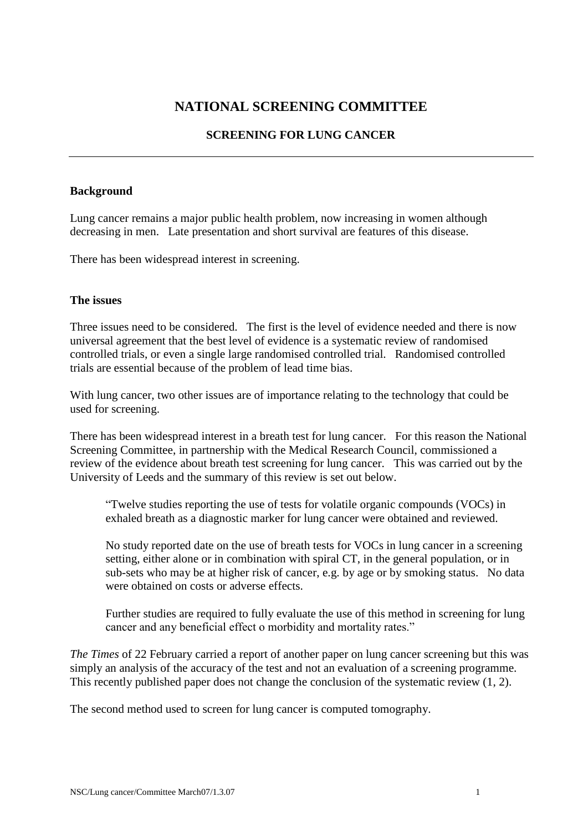# **NATIONAL SCREENING COMMITTEE**

## **SCREENING FOR LUNG CANCER**

#### **Background**

Lung cancer remains a major public health problem, now increasing in women although decreasing in men. Late presentation and short survival are features of this disease.

There has been widespread interest in screening.

#### **The issues**

Three issues need to be considered. The first is the level of evidence needed and there is now universal agreement that the best level of evidence is a systematic review of randomised controlled trials, or even a single large randomised controlled trial. Randomised controlled trials are essential because of the problem of lead time bias.

With lung cancer, two other issues are of importance relating to the technology that could be used for screening.

There has been widespread interest in a breath test for lung cancer. For this reason the National Screening Committee, in partnership with the Medical Research Council, commissioned a review of the evidence about breath test screening for lung cancer. This was carried out by the University of Leeds and the summary of this review is set out below.

"Twelve studies reporting the use of tests for volatile organic compounds (VOCs) in exhaled breath as a diagnostic marker for lung cancer were obtained and reviewed.

No study reported date on the use of breath tests for VOCs in lung cancer in a screening setting, either alone or in combination with spiral CT, in the general population, or in sub-sets who may be at higher risk of cancer, e.g. by age or by smoking status. No data were obtained on costs or adverse effects.

Further studies are required to fully evaluate the use of this method in screening for lung cancer and any beneficial effect o morbidity and mortality rates."

*The Times* of 22 February carried a report of another paper on lung cancer screening but this was simply an analysis of the accuracy of the test and not an evaluation of a screening programme. This recently published paper does not change the conclusion of the systematic review (1, 2).

The second method used to screen for lung cancer is computed tomography.